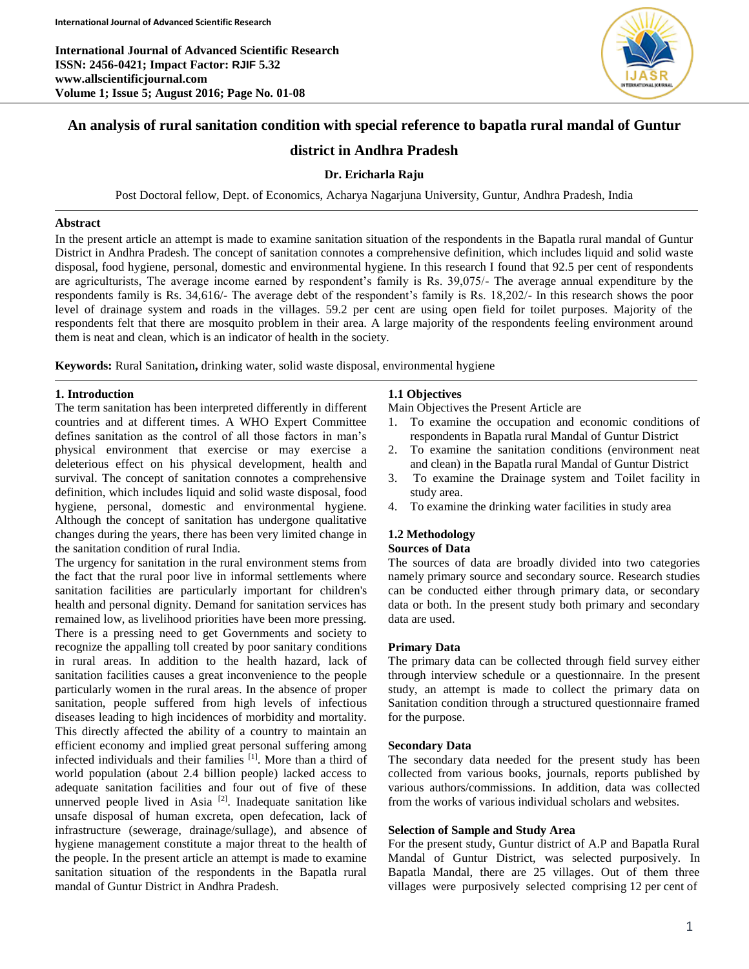**International Journal of Advanced Scientific Research ISSN: 2456-0421; Impact Factor: RJIF 5.32 www.allscientificjournal.com Volume 1; Issue 5; August 2016; Page No. 01-08**



# **An analysis of rural sanitation condition with special reference to bapatla rural mandal of Guntur**

# **district in Andhra Pradesh**

## **Dr. Ericharla Raju**

Post Doctoral fellow, Dept. of Economics, Acharya Nagarjuna University, Guntur, Andhra Pradesh, India

## **Abstract**

In the present article an attempt is made to examine sanitation situation of the respondents in the Bapatla rural mandal of Guntur District in Andhra Pradesh. The concept of sanitation connotes a comprehensive definition, which includes liquid and solid waste disposal, food hygiene, personal, domestic and environmental hygiene. In this research I found that 92.5 per cent of respondents are agriculturists, The average income earned by respondent's family is Rs. 39,075/- The average annual expenditure by the respondents family is Rs. 34,616/- The average debt of the respondent's family is Rs. 18,202/- In this research shows the poor level of drainage system and roads in the villages. 59.2 per cent are using open field for toilet purposes. Majority of the respondents felt that there are mosquito problem in their area. A large majority of the respondents feeling environment around them is neat and clean, which is an indicator of health in the society.

**Keywords:** Rural Sanitation**,** drinking water, solid waste disposal, environmental hygiene

### **1. Introduction**

The term sanitation has been interpreted differently in different countries and at different times. A WHO Expert Committee defines sanitation as the control of all those factors in man's physical environment that exercise or may exercise a deleterious effect on his physical development, health and survival. The concept of sanitation connotes a comprehensive definition, which includes liquid and solid waste disposal, food hygiene, personal, domestic and environmental hygiene. Although the concept of sanitation has undergone qualitative changes during the years, there has been very limited change in the sanitation condition of rural India.

The urgency for sanitation in the rural environment stems from the fact that the rural poor live in informal settlements where sanitation facilities are particularly important for children's health and personal dignity. Demand for sanitation services has remained low, as livelihood priorities have been more pressing. There is a pressing need to get Governments and society to recognize the appalling toll created by poor sanitary conditions in rural areas. In addition to the health hazard, lack of sanitation facilities causes a great inconvenience to the people particularly women in the rural areas. In the absence of proper sanitation, people suffered from high levels of infectious diseases leading to high incidences of morbidity and mortality. This directly affected the ability of a country to maintain an efficient economy and implied great personal suffering among infected individuals and their families [1]. More than a third of world population (about 2.4 billion people) lacked access to adequate sanitation facilities and four out of five of these unnerved people lived in Asia  $[2]$ . Inadequate sanitation like unsafe disposal of human excreta, open defecation, lack of infrastructure (sewerage, drainage/sullage), and absence of hygiene management constitute a major threat to the health of the people. In the present article an attempt is made to examine sanitation situation of the respondents in the Bapatla rural mandal of Guntur District in Andhra Pradesh.

## **1.1 Objectives**

Main Objectives the Present Article are

- 1. To examine the occupation and economic conditions of respondents in Bapatla rural Mandal of Guntur District
- 2. To examine the sanitation conditions (environment neat and clean) in the Bapatla rural Mandal of Guntur District
- 3. To examine the Drainage system and Toilet facility in study area.
- 4. To examine the drinking water facilities in study area

### **1.2 Methodology Sources of Data**

The sources of data are broadly divided into two categories namely primary source and secondary source. Research studies can be conducted either through primary data, or secondary data or both. In the present study both primary and secondary data are used.

## **Primary Data**

The primary data can be collected through field survey either through interview schedule or a questionnaire. In the present study, an attempt is made to collect the primary data on Sanitation condition through a structured questionnaire framed for the purpose.

#### **Secondary Data**

The secondary data needed for the present study has been collected from various books, journals, reports published by various authors/commissions. In addition, data was collected from the works of various individual scholars and websites.

## **Selection of Sample and Study Area**

For the present study, Guntur district of A.P and Bapatla Rural Mandal of Guntur District, was selected purposively. In Bapatla Mandal, there are 25 villages. Out of them three villages were purposively selected comprising 12 per cent of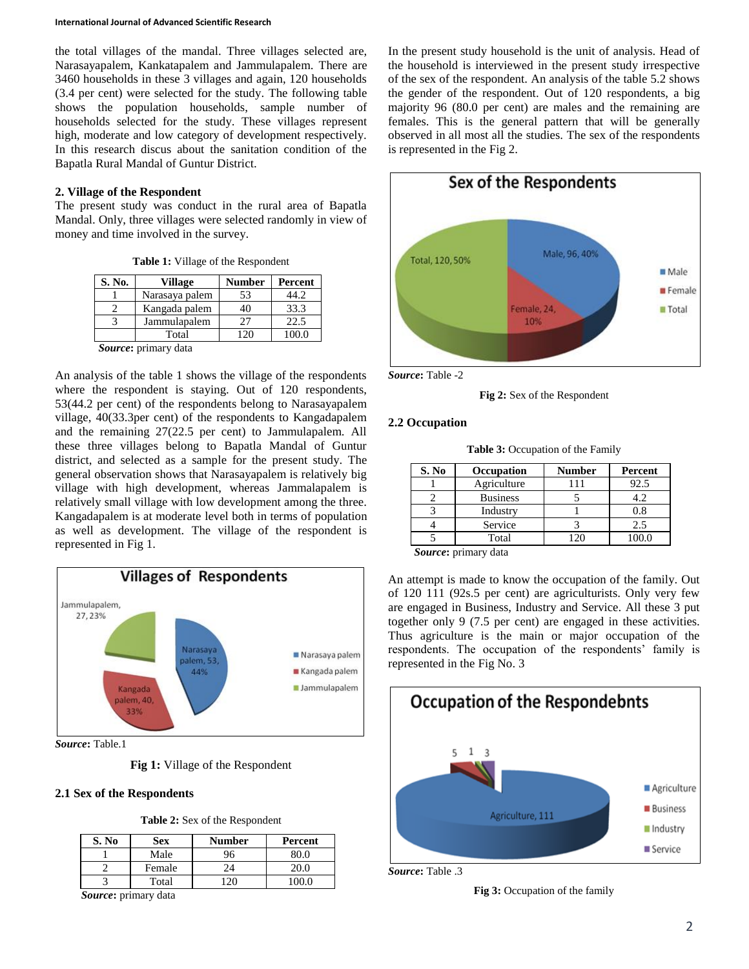the total villages of the mandal. Three villages selected are, Narasayapalem, Kankatapalem and Jammulapalem. There are 3460 households in these 3 villages and again, 120 households (3.4 per cent) were selected for the study. The following table shows the population households, sample number of households selected for the study. These villages represent high, moderate and low category of development respectively. In this research discus about the sanitation condition of the Bapatla Rural Mandal of Guntur District.

## **2. Village of the Respondent**

The present study was conduct in the rural area of Bapatla Mandal. Only, three villages were selected randomly in view of money and time involved in the survey.

**Table 1:** Village of the Respondent

| S. No. | Village        | <b>Number</b> | Percent |
|--------|----------------|---------------|---------|
|        | Narasaya palem | 53            | 44.2    |
|        | Kangada palem  | 40            | 33.3    |
|        | Jammulapalem   | 27            | 22.5    |
|        | Total          | 120           | 100.0   |

*Source***:** primary data

An analysis of the table 1 shows the village of the respondents where the respondent is staying. Out of 120 respondents, 53(44.2 per cent) of the respondents belong to Narasayapalem village, 40(33.3per cent) of the respondents to Kangadapalem and the remaining 27(22.5 per cent) to Jammulapalem. All these three villages belong to Bapatla Mandal of Guntur district, and selected as a sample for the present study. The general observation shows that Narasayapalem is relatively big village with high development, whereas Jammalapalem is relatively small village with low development among the three. Kangadapalem is at moderate level both in terms of population as well as development. The village of the respondent is represented in Fig 1.



*Source***:** Table.1

**Fig 1:** Village of the Respondent

## **2.1 Sex of the Respondents**

| S. No | <b>Sex</b> | Number | Percent |
|-------|------------|--------|---------|
|       | Male       | 96     |         |
|       | Female     | 24     |         |
|       | Total      |        |         |

*Source***:** primary data

In the present study household is the unit of analysis. Head of the household is interviewed in the present study irrespective of the sex of the respondent. An analysis of the table 5.2 shows the gender of the respondent. Out of 120 respondents, a big majority 96 (80.0 per cent) are males and the remaining are females. This is the general pattern that will be generally observed in all most all the studies. The sex of the respondents is represented in the Fig 2.



*Source***:** Table -2

**Fig 2:** Sex of the Respondent

## **2.2 Occupation**

**Table 3:** Occupation of the Family

| S. No  | Occupation      | <b>Number</b> | Percent |
|--------|-----------------|---------------|---------|
|        | Agriculture     | 111           | 92.5    |
|        | <b>Business</b> |               | 4.2     |
|        | Industry        |               | 0.8     |
|        | Service         |               | 2.5     |
|        | Total           | 120           | 100.0   |
| $\sim$ | $\mathbf{1}$    |               |         |

*Source***:** primary data

An attempt is made to know the occupation of the family. Out of 120 111 (92s.5 per cent) are agriculturists. Only very few are engaged in Business, Industry and Service. All these 3 put together only 9 (7.5 per cent) are engaged in these activities. Thus agriculture is the main or major occupation of the respondents. The occupation of the respondents' family is represented in the Fig No. 3



*Source***:** Table .3

**Fig 3:** Occupation of the family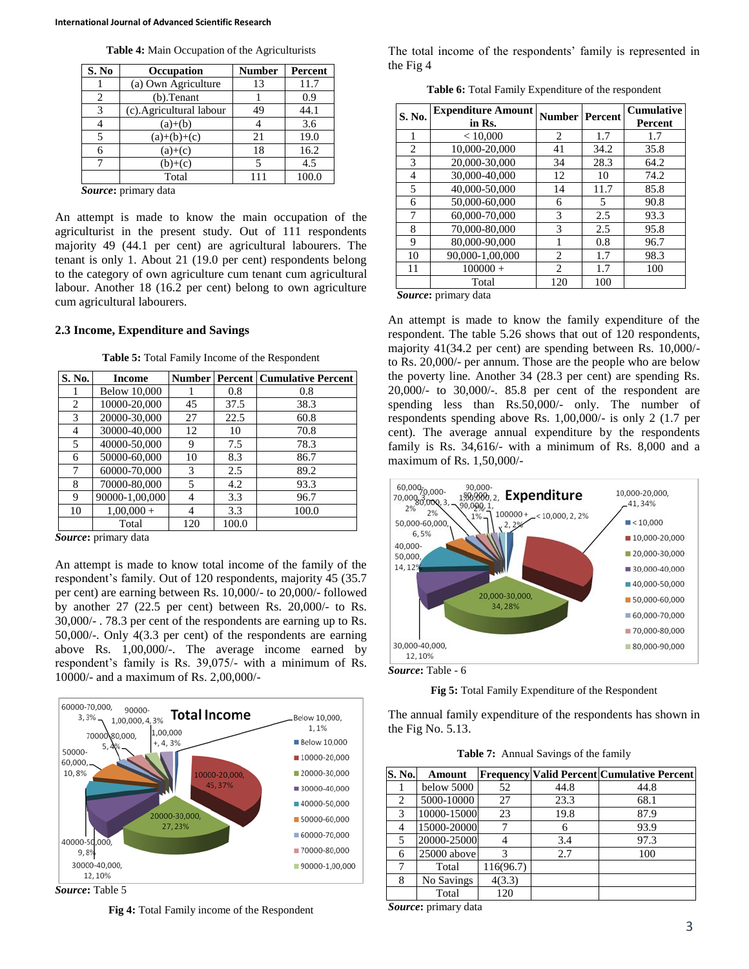|  |  |  |  | Table 4: Main Occupation of the Agriculturists |
|--|--|--|--|------------------------------------------------|
|--|--|--|--|------------------------------------------------|

| S. No | <b>Occupation</b>        | <b>Number</b> | <b>Percent</b> |
|-------|--------------------------|---------------|----------------|
|       | (a) Own Agriculture      | 13            | 11.7           |
| 2     | $(b)$ . Tenant           |               | 0.9            |
| 3     | (c). Agricultural labour | 49            | 44.1           |
|       | $(a)+(b)$                |               | 3.6            |
|       | $(a)+(b)+(c)$            | 21            | 19.0           |
|       | $(a)+(c)$                | 18            | 16.2           |
|       | $(b)+(c)$                |               | 4.5            |
|       | Total                    | 11            | 100.0          |

*Source***:** primary data

An attempt is made to know the main occupation of the agriculturist in the present study. Out of 111 respondents majority 49 (44.1 per cent) are agricultural labourers. The tenant is only 1. About 21 (19.0 per cent) respondents belong to the category of own agriculture cum tenant cum agricultural labour. Another 18 (16.2 per cent) belong to own agriculture cum agricultural labourers.

#### **2.3 Income, Expenditure and Savings**

**Table 5:** Total Family Income of the Respondent

| S. No. | Income              |     |       | <b>Number   Percent   Cumulative Percent</b> |
|--------|---------------------|-----|-------|----------------------------------------------|
|        | <b>Below 10,000</b> |     | 0.8   | 0.8                                          |
| 2      | 10000-20,000        | 45  | 37.5  | 38.3                                         |
| 3      | 20000-30.000        | 27  | 22.5  | 60.8                                         |
| 4      | 30000-40,000        | 12  | 10    | 70.8                                         |
| 5      | 40000-50,000        | 9   | 7.5   | 78.3                                         |
| 6      | 50000-60,000        | 10  | 8.3   | 86.7                                         |
| 7      | 60000-70,000        | 3   | 2.5   | 89.2                                         |
| 8      | 70000-80,000        | 5   | 4.2   | 93.3                                         |
| 9      | 90000-1,00,000      | 4   | 3.3   | 96.7                                         |
| 10     | $1,00,000 +$        | 4   | 3.3   | 100.0                                        |
|        | Total               | 120 | 100.0 |                                              |

*Source***:** primary data

An attempt is made to know total income of the family of the respondent's family. Out of 120 respondents, majority 45 (35.7 per cent) are earning between Rs. 10,000/- to 20,000/- followed by another 27 (22.5 per cent) between Rs. 20,000/- to Rs. 30,000/- . 78.3 per cent of the respondents are earning up to Rs. 50,000/-. Only 4(3.3 per cent) of the respondents are earning above Rs. 1,00,000/-. The average income earned by respondent's family is Rs. 39,075/- with a minimum of Rs. 10000/- and a maximum of Rs. 2,00,000/-



*Source***:** Table 5

**Fig 4:** Total Family income of the Respondent

The total income of the respondents' family is represented in the Fig 4

**Table 6:** Total Family Expenditure of the respondent

| S. No.         | <b>Expenditure Amount</b><br>in Rs. | <b>Number   Percent</b> |      | <b>Cumulative</b><br><b>Percent</b> |
|----------------|-------------------------------------|-------------------------|------|-------------------------------------|
|                | < 10,000                            | 2                       | 1.7  | 1.7                                 |
| $\overline{c}$ | 10,000-20,000                       | 41                      | 34.2 | 35.8                                |
| 3              | 20,000-30,000                       | 34                      | 28.3 | 64.2                                |
| 4              | 30,000-40,000                       | 12                      | 10   | 74.2                                |
| 5              | 40,000-50,000                       | 14                      | 11.7 | 85.8                                |
| 6              | 50,000-60,000                       | 6                       | 5    | 90.8                                |
| 7              | 60,000-70,000                       | 3                       | 2.5  | 93.3                                |
| 8              | 70,000-80,000                       | 3                       | 2.5  | 95.8                                |
| 9              | 80,000-90,000                       |                         | 0.8  | 96.7                                |
| 10             | 90,000-1,00,000                     | $\overline{c}$          | 1.7  | 98.3                                |
| 11             | $100000 +$                          | $\overline{c}$          | 1.7  | 100                                 |
|                | Total                               | 120                     | 100  |                                     |

*Source***:** primary data

An attempt is made to know the family expenditure of the respondent. The table 5.26 shows that out of 120 respondents, majority 41(34.2 per cent) are spending between Rs. 10,000/ to Rs. 20,000/- per annum. Those are the people who are below the poverty line. Another 34 (28.3 per cent) are spending Rs. 20,000/- to 30,000/-. 85.8 per cent of the respondent are spending less than Rs.50,000/- only. The number of respondents spending above Rs. 1,00,000/- is only 2 (1.7 per cent). The average annual expenditure by the respondents family is Rs. 34,616/- with a minimum of Rs. 8,000 and a maximum of Rs. 1,50,000/-



*Source***:** Table - 6

**Fig 5:** Total Family Expenditure of the Respondent

The annual family expenditure of the respondents has shown in the Fig No. 5.13.

**Table 7:** Annual Savings of the family

| S. No. | Amount      |           |      | <b>Frequency Valid Percent Cumulative Percent</b> |
|--------|-------------|-----------|------|---------------------------------------------------|
|        | below 5000  | 52        | 44.8 | 44.8                                              |
| 2      | 5000-10000  | 27        | 23.3 | 68.1                                              |
| 3      | 10000-15000 | 23        | 19.8 | 87.9                                              |
| 4      | 15000-20000 |           | 6    | 93.9                                              |
| 5      | 20000-25000 |           | 3.4  | 97.3                                              |
| 6      | 25000 above | з         | 2.7  | 100                                               |
|        | Total       | 116(96.7) |      |                                                   |
| 8      | No Savings  | 4(3.3)    |      |                                                   |
|        | Total       | 120       |      |                                                   |

*Source***:** primary data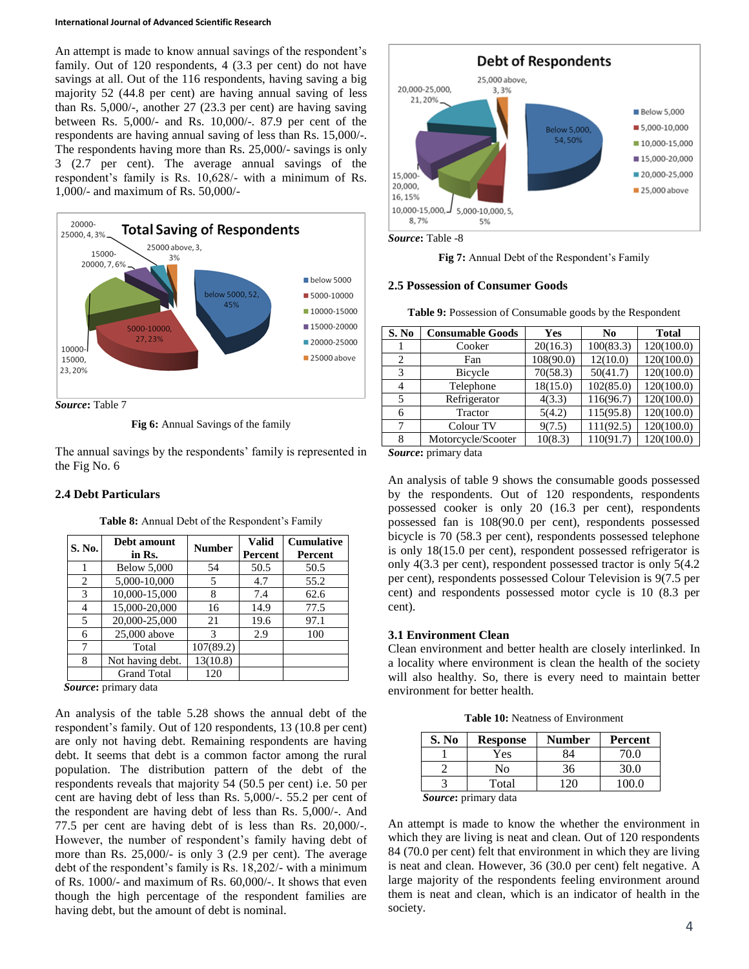An attempt is made to know annual savings of the respondent's family. Out of 120 respondents, 4 (3.3 per cent) do not have savings at all. Out of the 116 respondents, having saving a big majority 52 (44.8 per cent) are having annual saving of less than Rs. 5,000/-, another 27 (23.3 per cent) are having saving between Rs. 5,000/- and Rs. 10,000/-. 87.9 per cent of the respondents are having annual saving of less than Rs. 15,000/-. The respondents having more than Rs. 25,000/- savings is only 3 (2.7 per cent). The average annual savings of the respondent's family is Rs. 10,628/- with a minimum of Rs. 1,000/- and maximum of Rs. 50,000/-



**Fig 6:** Annual Savings of the family

The annual savings by the respondents' family is represented in the Fig No. 6

#### **2.4 Debt Particulars**

| S. No. | Debt amount<br>in Rs. | <b>Number</b> | <b>Valid</b><br>Percent | <b>Cumulative</b><br>Percent |
|--------|-----------------------|---------------|-------------------------|------------------------------|
| 1      | <b>Below 5,000</b>    | 54            | 50.5                    | 50.5                         |
| 2      | 5,000-10,000          | 5             | 4.7                     | 55.2                         |
| 3      | 10,000-15,000         | 8             | 7.4                     | 62.6                         |
| 4      | 15,000-20,000         | 16            | 14.9                    | 77.5                         |
| 5      | 20,000-25,000         | 21            | 19.6                    | 97.1                         |
| 6      | 25,000 above          | 3             | 2.9                     | 100                          |
| 7      | Total                 | 107(89.2)     |                         |                              |
| 8      | Not having debt.      | 13(10.8)      |                         |                              |
|        | <b>Grand Total</b>    | 120           |                         |                              |

**Table 8:** Annual Debt of the Respondent's Family

*Source***:** primary data

An analysis of the table 5.28 shows the annual debt of the respondent's family. Out of 120 respondents, 13 (10.8 per cent) are only not having debt. Remaining respondents are having debt. It seems that debt is a common factor among the rural population. The distribution pattern of the debt of the respondents reveals that majority 54 (50.5 per cent) i.e. 50 per cent are having debt of less than Rs. 5,000/-. 55.2 per cent of the respondent are having debt of less than Rs. 5,000/-. And 77.5 per cent are having debt of is less than Rs. 20,000/-. However, the number of respondent's family having debt of more than Rs. 25,000/- is only 3 (2.9 per cent). The average debt of the respondent's family is Rs. 18,202/- with a minimum of Rs. 1000/- and maximum of Rs. 60,000/-. It shows that even though the high percentage of the respondent families are having debt, but the amount of debt is nominal.



*Source***:** Table -8

**Fig 7:** Annual Debt of the Respondent's Family

#### **2.5 Possession of Consumer Goods**

**Table 9:** Possession of Consumable goods by the Respondent

| S. No  | <b>Consumable Goods</b> | Yes       | N <sub>0</sub> | <b>Total</b> |
|--------|-------------------------|-----------|----------------|--------------|
|        | Cooker                  | 20(16.3)  | 100(83.3)      | 120(100.0)   |
| 2      | Fan                     | 108(90.0) | 12(10.0)       | 120(100.0)   |
| 3      | Bicycle                 | 70(58.3)  | 50(41.7)       | 120(100.0)   |
| 4      | Telephone               | 18(15.0)  | 102(85.0)      | 120(100.0)   |
| 5      | Refrigerator            | 4(3.3)    | 116(96.7)      | 120(100.0)   |
| 6      | Tractor                 | 5(4.2)    | 115(95.8)      | 120(100.0)   |
| 7      | Colour TV               | 9(7.5)    | 111(92.5)      | 120(100.0)   |
| 8      | Motorcycle/Scooter      | 10(8.3)   | 110(91.7)      | 120(100.0)   |
| $\sim$ |                         |           |                |              |

*Source***:** primary data

An analysis of table 9 shows the consumable goods possessed by the respondents. Out of 120 respondents, respondents possessed cooker is only 20 (16.3 per cent), respondents possessed fan is 108(90.0 per cent), respondents possessed bicycle is 70 (58.3 per cent), respondents possessed telephone is only 18(15.0 per cent), respondent possessed refrigerator is only 4(3.3 per cent), respondent possessed tractor is only 5(4.2 per cent), respondents possessed Colour Television is 9(7.5 per cent) and respondents possessed motor cycle is 10 (8.3 per cent).

## **3.1 Environment Clean**

Clean environment and better health are closely interlinked. In a locality where environment is clean the health of the society will also healthy. So, there is every need to maintain better environment for better health.

**Table 10:** Neatness of Environment

| S. No | Response | Number | Percent |
|-------|----------|--------|---------|
|       | Yes      | 84     | 70.0    |
|       | No       | 36     | 30.0    |
|       | Total    | 120    | 100 O   |
| n     |          |        |         |

*Source***:** primary data

An attempt is made to know the whether the environment in which they are living is neat and clean. Out of 120 respondents 84 (70.0 per cent) felt that environment in which they are living is neat and clean. However, 36 (30.0 per cent) felt negative. A large majority of the respondents feeling environment around them is neat and clean, which is an indicator of health in the society.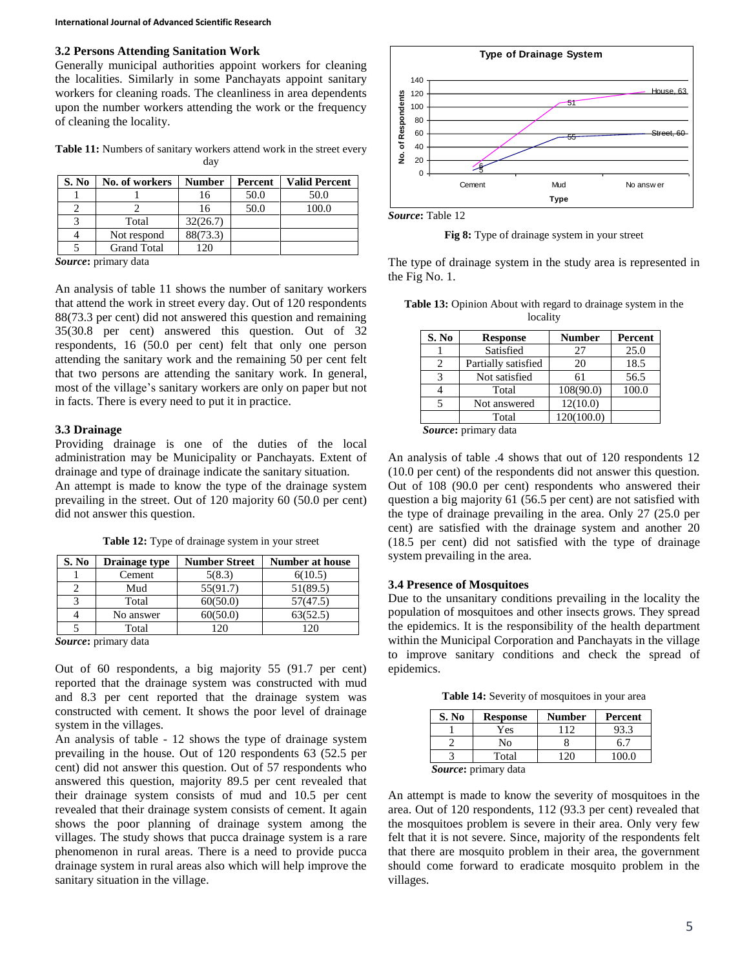# **3.2 Persons Attending Sanitation Work**

Generally municipal authorities appoint workers for cleaning the localities. Similarly in some Panchayats appoint sanitary workers for cleaning roads. The cleanliness in area dependents upon the number workers attending the work or the frequency of cleaning the locality.

Table 11: Numbers of sanitary workers attend work in the street every day

| S. No | No. of workers     | <b>Number</b> | Percent | <b>Valid Percent</b> |
|-------|--------------------|---------------|---------|----------------------|
|       |                    | 16            | 50.0    | 50.0                 |
|       |                    | 16            | 50.0    | 100.0                |
|       | Total              | 32(26.7)      |         |                      |
|       | Not respond        | 88(73.3)      |         |                      |
|       | <b>Grand Total</b> | 120           |         |                      |
|       |                    |               |         |                      |

*Source***:** primary data

An analysis of table 11 shows the number of sanitary workers that attend the work in street every day. Out of 120 respondents 88(73.3 per cent) did not answered this question and remaining 35(30.8 per cent) answered this question. Out of 32 respondents, 16 (50.0 per cent) felt that only one person attending the sanitary work and the remaining 50 per cent felt that two persons are attending the sanitary work. In general, most of the village's sanitary workers are only on paper but not in facts. There is every need to put it in practice.

## **3.3 Drainage**

Providing drainage is one of the duties of the local administration may be Municipality or Panchayats. Extent of drainage and type of drainage indicate the sanitary situation.

An attempt is made to know the type of the drainage system prevailing in the street. Out of 120 majority 60 (50.0 per cent) did not answer this question.

| S. No | Drainage type        | <b>Number Street</b> | <b>Number at house</b> |  |  |
|-------|----------------------|----------------------|------------------------|--|--|
|       | Cement               | 5(8.3)               | 6(10.5)                |  |  |
|       | Mud                  | 55(91.7)             | 51(89.5)               |  |  |
|       | Total                | 60(50.0)             | 57(47.5)               |  |  |
|       | No answer            | 60(50.0)             | 63(52.5)               |  |  |
|       | Total                | 120                  | 120                    |  |  |
|       | Source: primary data |                      |                        |  |  |

**Table 12:** Type of drainage system in your street

Out of 60 respondents, a big majority 55 (91.7 per cent) reported that the drainage system was constructed with mud and 8.3 per cent reported that the drainage system was constructed with cement. It shows the poor level of drainage system in the villages.

An analysis of table - 12 shows the type of drainage system prevailing in the house. Out of 120 respondents 63 (52.5 per cent) did not answer this question. Out of 57 respondents who answered this question, majority 89.5 per cent revealed that their drainage system consists of mud and 10.5 per cent revealed that their drainage system consists of cement. It again shows the poor planning of drainage system among the villages. The study shows that pucca drainage system is a rare phenomenon in rural areas. There is a need to provide pucca drainage system in rural areas also which will help improve the sanitary situation in the village.



*Source***:** Table 12

**Fig 8:** Type of drainage system in your street

The type of drainage system in the study area is represented in the Fig No. 1.

| <b>Table 13:</b> Opinion About with regard to drainage system in the |          |  |
|----------------------------------------------------------------------|----------|--|
|                                                                      | locality |  |

| S. No | <b>Response</b>     | <b>Number</b> | Percent |  |  |  |
|-------|---------------------|---------------|---------|--|--|--|
|       | Satisfied           | 27            | 25.0    |  |  |  |
|       | Partially satisfied | 20            | 18.5    |  |  |  |
| 3     | Not satisfied       | 61            | 56.5    |  |  |  |
|       | Total               | 108(90.0)     | 100.0   |  |  |  |
|       | Not answered        | 12(10.0)      |         |  |  |  |
|       | Total               | 120(100.0)    |         |  |  |  |
|       |                     |               |         |  |  |  |

*Source***:** primary data

An analysis of table .4 shows that out of 120 respondents 12 (10.0 per cent) of the respondents did not answer this question. Out of 108 (90.0 per cent) respondents who answered their question a big majority 61 (56.5 per cent) are not satisfied with the type of drainage prevailing in the area. Only 27 (25.0 per cent) are satisfied with the drainage system and another 20 (18.5 per cent) did not satisfied with the type of drainage system prevailing in the area.

## **3.4 Presence of Mosquitoes**

Due to the unsanitary conditions prevailing in the locality the population of mosquitoes and other insects grows. They spread the epidemics. It is the responsibility of the health department within the Municipal Corporation and Panchayats in the village to improve sanitary conditions and check the spread of epidemics.

**Table 14:** Severity of mosquitoes in your area

| S. No | <b>Response</b>              | <b>Number</b> | Percent |
|-------|------------------------------|---------------|---------|
|       | Yes                          |               | 93.3    |
|       | No                           |               | 6.7     |
|       | Total                        |               | 100.0   |
|       | <i>Cource</i> : primary data |               |         |

*Source***:** primary data

An attempt is made to know the severity of mosquitoes in the area. Out of 120 respondents, 112 (93.3 per cent) revealed that the mosquitoes problem is severe in their area. Only very few felt that it is not severe. Since, majority of the respondents felt that there are mosquito problem in their area, the government should come forward to eradicate mosquito problem in the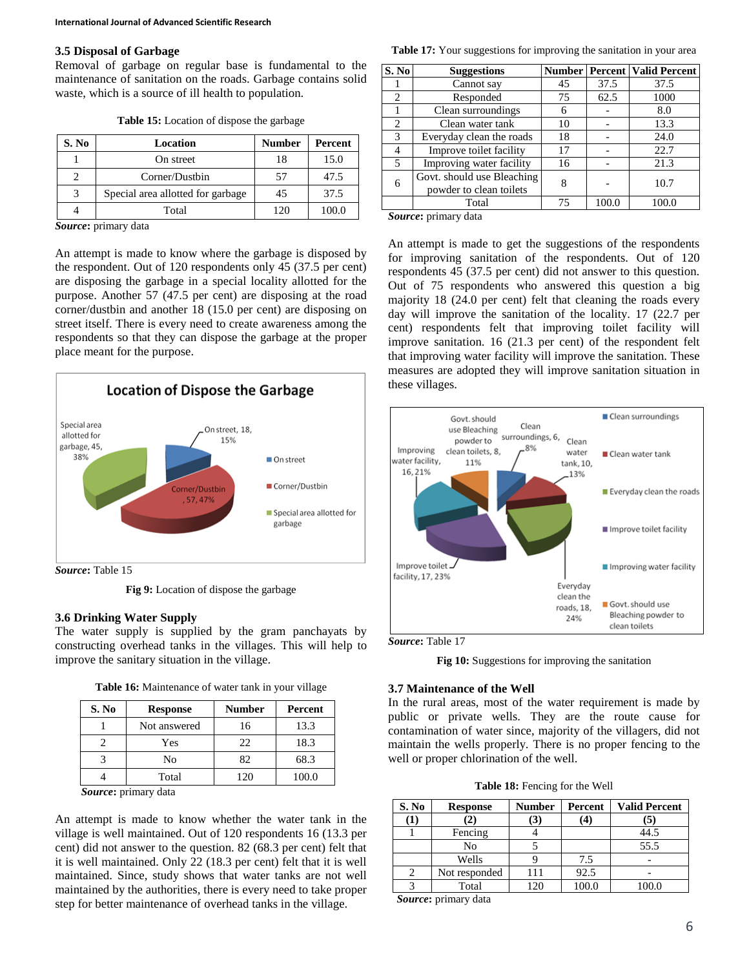### **3.5 Disposal of Garbage**

Removal of garbage on regular base is fundamental to the maintenance of sanitation on the roads. Garbage contains solid waste, which is a source of ill health to population.

| S. No | Location                          | <b>Number</b> | Percent |
|-------|-----------------------------------|---------------|---------|
|       | On street                         | 18            | 15.0    |
|       | Corner/Dustbin                    | 57            | 47.5    |
| 3     | Special area allotted for garbage | 45            | 37.5    |
|       | Total                             |               | 100.0   |

**Table 15:** Location of dispose the garbage

*Source***:** primary data

An attempt is made to know where the garbage is disposed by the respondent. Out of 120 respondents only 45 (37.5 per cent) are disposing the garbage in a special locality allotted for the purpose. Another 57 (47.5 per cent) are disposing at the road corner/dustbin and another 18 (15.0 per cent) are disposing on street itself. There is every need to create awareness among the respondents so that they can dispose the garbage at the proper place meant for the purpose.



*Source***:** Table 15

**Fig 9:** Location of dispose the garbage

#### **3.6 Drinking Water Supply**

The water supply is supplied by the gram panchayats by constructing overhead tanks in the villages. This will help to improve the sanitary situation in the village.

|  | Table 16: Maintenance of water tank in your village |  |  |  |  |
|--|-----------------------------------------------------|--|--|--|--|
|--|-----------------------------------------------------|--|--|--|--|

| S. No | <b>Response</b> | <b>Number</b> | Percent |
|-------|-----------------|---------------|---------|
|       | Not answered    | 16            | 13.3    |
|       | Yes             | 22            | 18.3    |
|       | No              | 82            | 68.3    |
|       | Total           | 20            | 100.0   |

*Source***:** primary data

An attempt is made to know whether the water tank in the village is well maintained. Out of 120 respondents 16 (13.3 per cent) did not answer to the question. 82 (68.3 per cent) felt that it is well maintained. Only 22 (18.3 per cent) felt that it is well maintained. Since, study shows that water tanks are not well maintained by the authorities, there is every need to take proper step for better maintenance of overhead tanks in the village.

**Table 17:** Your suggestions for improving the sanitation in your area

| S. No | <b>Suggestions</b>                                    |    |       | <b>Number   Percent   Valid Percent</b> |
|-------|-------------------------------------------------------|----|-------|-----------------------------------------|
|       | Cannot say                                            | 45 | 37.5  | 37.5                                    |
| 2     | Responded                                             | 75 | 62.5  | 1000                                    |
|       | Clean surroundings                                    | 6  |       | 8.0                                     |
| 2     | Clean water tank                                      | 10 |       | 13.3                                    |
| 3     | Everyday clean the roads                              | 18 |       | 24.0                                    |
|       | Improve toilet facility                               | 17 |       | 22.7                                    |
| 5     | Improving water facility                              | 16 |       | 21.3                                    |
| 6     | Govt. should use Bleaching<br>powder to clean toilets | 8  |       | 10.7                                    |
|       | Total                                                 | 75 | 100.0 | 100.0                                   |
|       |                                                       |    |       |                                         |

*Source***:** primary data

An attempt is made to get the suggestions of the respondents for improving sanitation of the respondents. Out of 120 respondents 45 (37.5 per cent) did not answer to this question. Out of 75 respondents who answered this question a big majority 18 (24.0 per cent) felt that cleaning the roads every day will improve the sanitation of the locality. 17 (22.7 per cent) respondents felt that improving toilet facility will improve sanitation. 16 (21.3 per cent) of the respondent felt that improving water facility will improve the sanitation. These measures are adopted they will improve sanitation situation in these villages.



*Source***:** Table 17

**Fig 10:** Suggestions for improving the sanitation

#### **3.7 Maintenance of the Well**

In the rural areas, most of the water requirement is made by public or private wells. They are the route cause for contamination of water since, majority of the villagers, did not maintain the wells properly. There is no proper fencing to the well or proper chlorination of the well.

**Table 18:** Fencing for the Well

| S. No | <b>Response</b> | <b>Number</b> | Percent | <b>Valid Percent</b> |
|-------|-----------------|---------------|---------|----------------------|
|       |                 | 3)            | 4       | (5)                  |
|       | Fencing         |               |         | 44.5                 |
|       | No              |               |         | 55.5                 |
|       | Wells           |               | 7.5     |                      |
|       | Not responded   | 111           | 92.5    |                      |
|       | Total           | 12C           | 100.0   |                      |

*Source***:** primary data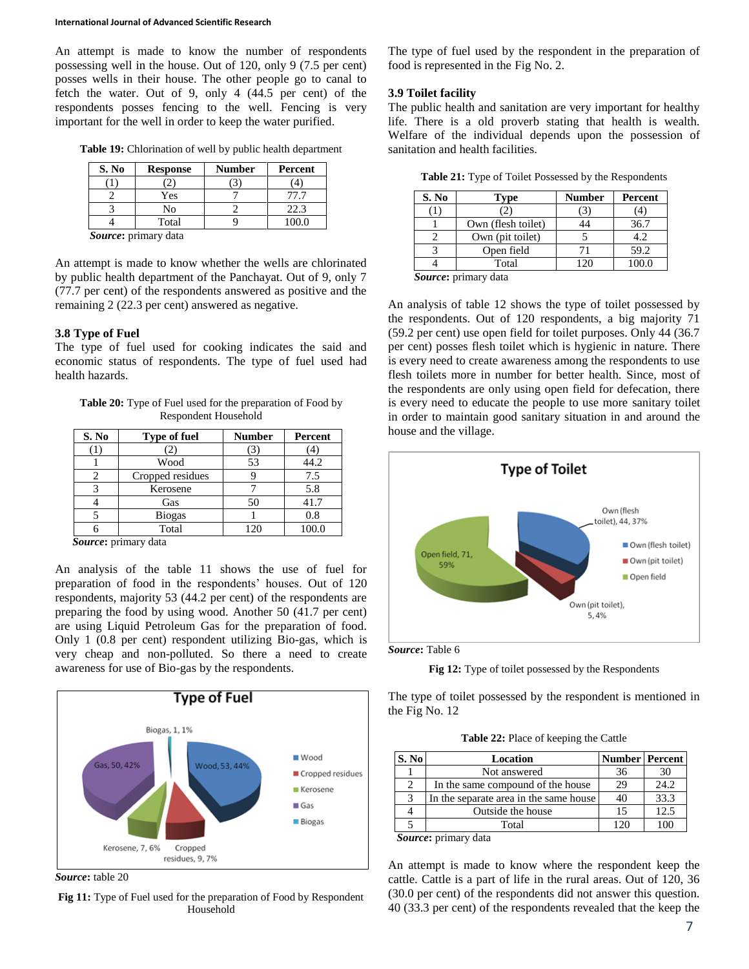An attempt is made to know the number of respondents possessing well in the house. Out of 120, only 9 (7.5 per cent) posses wells in their house. The other people go to canal to fetch the water. Out of 9, only 4 (44.5 per cent) of the respondents posses fencing to the well. Fencing is very important for the well in order to keep the water purified.

**Table 19:** Chlorination of well by public health department

| S. No | <b>Response</b>      | <b>Number</b> | Percent |
|-------|----------------------|---------------|---------|
|       |                      |               |         |
|       | Yes                  |               |         |
|       | No                   |               | 22.3    |
|       | Total                |               | 00.0    |
|       | Cource, primary data |               |         |

*Source***:** primary data

An attempt is made to know whether the wells are chlorinated by public health department of the Panchayat. Out of 9, only 7 (77.7 per cent) of the respondents answered as positive and the remaining 2 (22.3 per cent) answered as negative.

## **3.8 Type of Fuel**

The type of fuel used for cooking indicates the said and economic status of respondents. The type of fuel used had health hazards.

**Table 20:** Type of Fuel used for the preparation of Food by Respondent Household

| S. No                 | <b>Type of fuel</b> | <b>Number</b> | Percent |
|-----------------------|---------------------|---------------|---------|
|                       |                     |               |         |
|                       | Wood                | 53            | 44.2    |
|                       | Cropped residues    |               | 7.5     |
|                       | Kerosene            |               | 5.8     |
|                       | Gas                 | 50            | 41.7    |
|                       | <b>Biogas</b>       |               | 0.8     |
|                       | Total               | 120           | 100.0   |
| $\tilde{\phantom{a}}$ | $\mathbf{1}$        |               |         |

*Source***:** primary data

An analysis of the table 11 shows the use of fuel for preparation of food in the respondents' houses. Out of 120 respondents, majority 53 (44.2 per cent) of the respondents are preparing the food by using wood. Another 50 (41.7 per cent) are using Liquid Petroleum Gas for the preparation of food. Only 1 (0.8 per cent) respondent utilizing Bio-gas, which is very cheap and non-polluted. So there a need to create awareness for use of Bio-gas by the respondents.



*Source***:** table 20

**Fig 11:** Type of Fuel used for the preparation of Food by Respondent Household

The type of fuel used by the respondent in the preparation of food is represented in the Fig No. 2.

## **3.9 Toilet facility**

The public health and sanitation are very important for healthy life. There is a old proverb stating that health is wealth. Welfare of the individual depends upon the possession of sanitation and health facilities.

**Table 21:** Type of Toilet Possessed by the Respondents

| S. No  | <b>Type</b>        | Number | Percent |
|--------|--------------------|--------|---------|
|        |                    |        |         |
|        | Own (flesh toilet) |        | 36.7    |
|        | Own (pit toilet)   |        | 4.2     |
|        | Open field         | 71     | 59.2    |
|        | Total              |        | 100.0   |
| $\sim$ | . .                |        |         |

*Source***:** primary data

An analysis of table 12 shows the type of toilet possessed by the respondents. Out of 120 respondents, a big majority 71 (59.2 per cent) use open field for toilet purposes. Only 44 (36.7 per cent) posses flesh toilet which is hygienic in nature. There is every need to create awareness among the respondents to use flesh toilets more in number for better health. Since, most of the respondents are only using open field for defecation, there is every need to educate the people to use more sanitary toilet in order to maintain good sanitary situation in and around the house and the village.



*Source***:** Table 6



The type of toilet possessed by the respondent is mentioned in the Fig No. 12

**Table 22:** Place of keeping the Cattle

| S. No                         | Location                               | <b>Number   Percent</b> |      |
|-------------------------------|----------------------------------------|-------------------------|------|
|                               | Not answered                           | 36                      | 30   |
| $\mathfrak{D}_{\mathfrak{p}}$ | In the same compound of the house      | 29                      | 24.2 |
| 3                             | In the separate area in the same house | 40                      | 33.3 |
|                               | Outside the house                      | 15                      | 12.5 |
|                               | Total                                  | $\gamma$                |      |

*Source***:** primary data

An attempt is made to know where the respondent keep the cattle. Cattle is a part of life in the rural areas. Out of 120, 36 (30.0 per cent) of the respondents did not answer this question. 40 (33.3 per cent) of the respondents revealed that the keep the